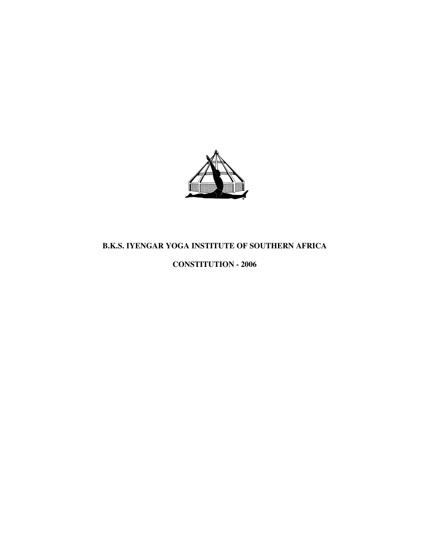

# **B.K.S. IYENGAR YOGA INSTITUTE OF SOUTHERN AFRICA**

# **CONSTITUTION - 2006**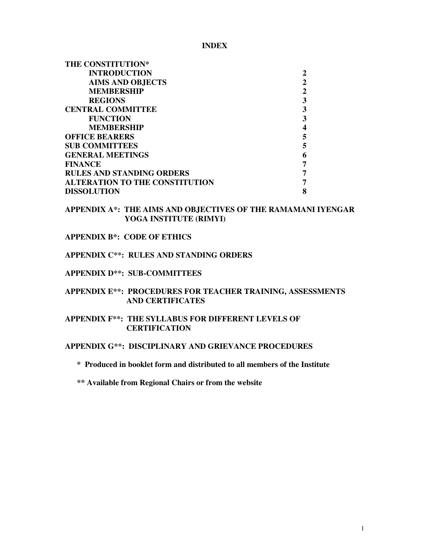**INDEX** 

| <b>THE CONSTITUTION*</b>              |   |
|---------------------------------------|---|
| <b>INTRODUCTION</b>                   | 2 |
| <b>AIMS AND OBJECTS</b>               | 2 |
| <b>MEMBERSHIP</b>                     | 2 |
| <b>REGIONS</b>                        | 3 |
| <b>CENTRAL COMMITTEE</b>              | 3 |
| <b>FUNCTION</b>                       | 3 |
| <b>MEMBERSHIP</b>                     |   |
| <b>OFFICE BEARERS</b>                 | 5 |
| <b>SUB COMMITTEES</b>                 | 5 |
| <b>GENERAL MEETINGS</b>               | 6 |
| <b>FINANCE</b>                        | 7 |
| <b>RULES AND STANDING ORDERS</b>      | 7 |
| <b>ALTERATION TO THE CONSTITUTION</b> |   |
| <b>DISSOLUTION</b>                    | 8 |

**APPENDIX A\*: THE AIMS AND OBJECTIVES OF THE RAMAMANI IYENGAR YOGA INSTITUTE (RIMYI)**

## **APPENDIX B\*: CODE OF ETHICS**

# **APPENDIX C\*\*: RULES AND STANDING ORDERS**

#### **APPENDIX D\*\*: SUB-COMMITTEES**

### **APPENDIX E\*\*: PROCEDURES FOR TEACHER TRAINING, ASSESSMENTS AND CERTIFICATES**

### **APPENDIX F\*\*: THE SYLLABUS FOR DIFFERENT LEVELS OF CERTIFICATION**

# **APPENDIX G\*\*: DISCIPLINARY AND GRIEVANCE PROCEDURES**

## **\* Produced in booklet form and distributed to all members of the Institute**

#### **\*\* Available from Regional Chairs or from the website**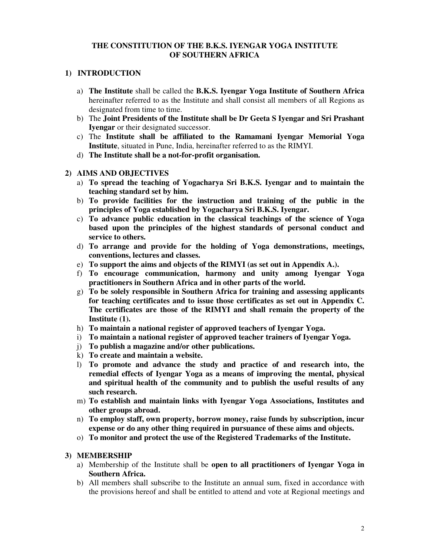## **THE CONSTITUTION OF THE B.K.S. IYENGAR YOGA INSTITUTE OF SOUTHERN AFRICA**

## **1) INTRODUCTION**

- a) **The Institute** shall be called the **B.K.S. Iyengar Yoga Institute of Southern Africa**  hereinafter referred to as the Institute and shall consist all members of all Regions as designated from time to time.
- b) The **Joint Presidents of the Institute shall be Dr Geeta S Iyengar and Sri Prashant Iyengar** or their designated successor.
- c) The **Institute shall be affiliated to the Ramamani Iyengar Memorial Yoga Institute**, situated in Pune, India, hereinafter referred to as the RIMYI.
- d) **The Institute shall be a not-for-profit organisation.**
- **2) AIMS AND OBJECTIVES** 
	- a) **To spread the teaching of Yogacharya Sri B.K.S. Iyengar and to maintain the teaching standard set by him.**
	- b) **To provide facilities for the instruction and training of the public in the principles of Yoga established by Yogacharya Sri B.K.S. Iyengar.**
	- c) **To advance public education in the classical teachings of the science of Yoga based upon the principles of the highest standards of personal conduct and service to others.**
	- d) **To arrange and provide for the holding of Yoga demonstrations, meetings, conventions, lectures and classes.**
	- e) **To support the aims and objects of the RIMYI (as set out in Appendix A.).**
	- f) **To encourage communication, harmony and unity among Iyengar Yoga practitioners in Southern Africa and in other parts of the world.**
	- g) **To be solely responsible in Southern Africa for training and assessing applicants for teaching certificates and to issue those certificates as set out in Appendix C. The certificates are those of the RIMYI and shall remain the property of the Institute (1).**
	- h) **To maintain a national register of approved teachers of Iyengar Yoga.**
	- i) **To maintain a national register of approved teacher trainers of Iyengar Yoga.**
	- j) **To publish a magazine and/or other publications.**
	- k) **To create and maintain a website.**
	- l) **To promote and advance the study and practice of and research into, the remedial effects of Iyengar Yoga as a means of improving the mental, physical and spiritual health of the community and to publish the useful results of any such research.**
	- m) **To establish and maintain links with Iyengar Yoga Associations, Institutes and other groups abroad.**
	- n) **To employ staff, own property, borrow money, raise funds by subscription, incur expense or do any other thing required in pursuance of these aims and objects.**
	- o) **To monitor and protect the use of the Registered Trademarks of the Institute.**

### **3) MEMBERSHIP**

- a) Membership of the Institute shall be **open to all practitioners of Iyengar Yoga in Southern Africa.**
- b) All members shall subscribe to the Institute an annual sum, fixed in accordance with the provisions hereof and shall be entitled to attend and vote at Regional meetings and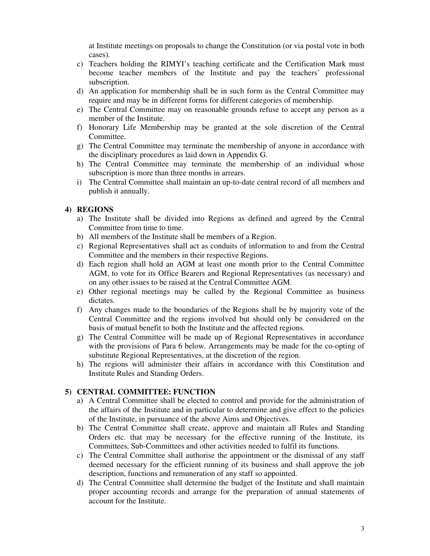at Institute meetings on proposals to change the Constitution (or via postal vote in both cases).

- c) Teachers holding the RIMYI's teaching certificate and the Certification Mark must become teacher members of the Institute and pay the teachers' professional subscription.
- d) An application for membership shall be in such form as the Central Committee may require and may be in different forms for different categories of membership.
- e) The Central Committee may on reasonable grounds refuse to accept any person as a member of the Institute.
- f) Honorary Life Membership may be granted at the sole discretion of the Central Committee.
- g) The Central Committee may terminate the membership of anyone in accordance with the disciplinary procedures as laid down in Appendix G.
- h) The Central Committee may terminate the membership of an individual whose subscription is more than three months in arrears.
- i) The Central Committee shall maintain an up-to-date central record of all members and publish it annually.

#### **4) REGIONS**

- a) The Institute shall be divided into Regions as defined and agreed by the Central Committee from time to time.
- b) All members of the Institute shall be members of a Region.
- c) Regional Representatives shall act as conduits of information to and from the Central Committee and the members in their respective Regions.
- d) Each region shall hold an AGM at least one month prior to the Central Committee AGM, to vote for its Office Bearers and Regional Representatives (as necessary) and on any other issues to be raised at the Central Committee AGM.
- e) Other regional meetings may be called by the Regional Committee as business dictates.
- f) Any changes made to the boundaries of the Regions shall be by majority vote of the Central Committee and the regions involved but should only be considered on the basis of mutual benefit to both the Institute and the affected regions.
- g) The Central Committee will be made up of Regional Representatives in accordance with the provisions of Para 6 below. Arrangements may be made for the co-opting of substitute Regional Representatives, at the discretion of the region.
- h) The regions will administer their affairs in accordance with this Constitution and Institute Rules and Standing Orders.

## **5) CENTRAL COMMITTEE: FUNCTION**

- a) A Central Committee shall be elected to control and provide for the administration of the affairs of the Institute and in particular to determine and give effect to the policies of the Institute, in pursuance of the above Aims and Objectives.
- b) The Central Committee shall create, approve and maintain all Rules and Standing Orders etc. that may be necessary for the effective running of the Institute, its Committees, Sub-Committees and other activities needed to fulfil its functions.
- c) The Central Committee shall authorise the appointment or the dismissal of any staff deemed necessary for the efficient running of its business and shall approve the job description, functions and remuneration of any staff so appointed.
- d) The Central Committee shall determine the budget of the Institute and shall maintain proper accounting records and arrange for the preparation of annual statements of account for the Institute.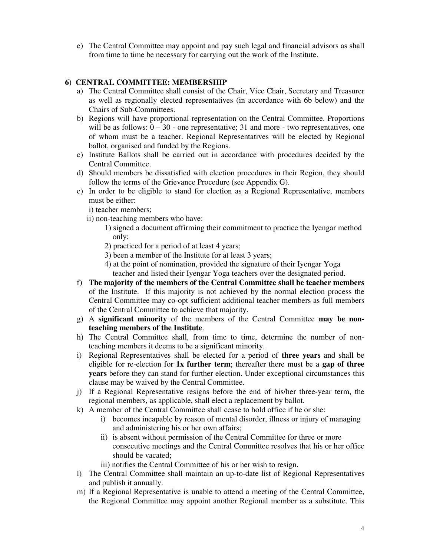e) The Central Committee may appoint and pay such legal and financial advisors as shall from time to time be necessary for carrying out the work of the Institute.

# **6) CENTRAL COMMITTEE: MEMBERSHIP**

- a) The Central Committee shall consist of the Chair, Vice Chair, Secretary and Treasurer as well as regionally elected representatives (in accordance with 6b below) and the Chairs of Sub-Committees.
- b) Regions will have proportional representation on the Central Committee. Proportions will be as follows:  $0 - 30$  - one representative; 31 and more - two representatives, one of whom must be a teacher. Regional Representatives will be elected by Regional ballot, organised and funded by the Regions.
- c) Institute Ballots shall be carried out in accordance with procedures decided by the Central Committee.
- d) Should members be dissatisfied with election procedures in their Region, they should follow the terms of the Grievance Procedure (see Appendix G).
- e) In order to be eligible to stand for election as a Regional Representative, members must be either:
	- i) teacher members;
	- ii) non-teaching members who have:
		- 1) signed a document affirming their commitment to practice the Iyengar method only;
		- 2) practiced for a period of at least 4 years;
		- 3) been a member of the Institute for at least 3 years;
		- 4) at the point of nomination, provided the signature of their Iyengar Yoga teacher and listed their Iyengar Yoga teachers over the designated period.
- f) **The majority of the members of the Central Committee shall be teacher members**  of the Institute. If this majority is not achieved by the normal election process the Central Committee may co-opt sufficient additional teacher members as full members of the Central Committee to achieve that majority.
- g) A **significant minority** of the members of the Central Committee **may be nonteaching members of the Institute**.
- h) The Central Committee shall, from time to time, determine the number of nonteaching members it deems to be a significant minority.
- i) Regional Representatives shall be elected for a period of **three years** and shall be eligible for re-election for **1x further term**; thereafter there must be a **gap of three years** before they can stand for further election. Under exceptional circumstances this clause may be waived by the Central Committee.
- j) If a Regional Representative resigns before the end of his/her three-year term, the regional members, as applicable, shall elect a replacement by ballot.
- k) A member of the Central Committee shall cease to hold office if he or she:
	- i) becomes incapable by reason of mental disorder, illness or injury of managing and administering his or her own affairs;
	- ii) is absent without permission of the Central Committee for three or more consecutive meetings and the Central Committee resolves that his or her office should be vacated;

iii) notifies the Central Committee of his or her wish to resign.

- l) The Central Committee shall maintain an up-to-date list of Regional Representatives and publish it annually.
- m) If a Regional Representative is unable to attend a meeting of the Central Committee, the Regional Committee may appoint another Regional member as a substitute. This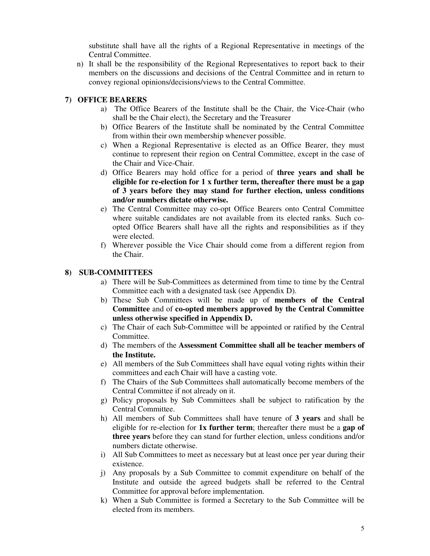substitute shall have all the rights of a Regional Representative in meetings of the Central Committee.

n) It shall be the responsibility of the Regional Representatives to report back to their members on the discussions and decisions of the Central Committee and in return to convey regional opinions/decisions/views to the Central Committee.

# **7) OFFICE BEARERS**

- a) The Office Bearers of the Institute shall be the Chair, the Vice-Chair (who shall be the Chair elect), the Secretary and the Treasurer
- b) Office Bearers of the Institute shall be nominated by the Central Committee from within their own membership whenever possible.
- c) When a Regional Representative is elected as an Office Bearer, they must continue to represent their region on Central Committee, except in the case of the Chair and Vice-Chair.
- d) Office Bearers may hold office for a period of **three years and shall be eligible for re-election for 1 x further term, thereafter there must be a gap of 3 years before they may stand for further election, unless conditions and/or numbers dictate otherwise.**
- e) The Central Committee may co-opt Office Bearers onto Central Committee where suitable candidates are not available from its elected ranks. Such coopted Office Bearers shall have all the rights and responsibilities as if they were elected.
- f) Wherever possible the Vice Chair should come from a different region from the Chair.

#### **8) SUB-COMMITTEES**

- a) There will be Sub-Committees as determined from time to time by the Central Committee each with a designated task (see Appendix D).
- b) These Sub Committees will be made up of **members of the Central Committee** and of **co-opted members approved by the Central Committee unless otherwise specified in Appendix D.**
- c) The Chair of each Sub-Committee will be appointed or ratified by the Central Committee.
- d) The members of the **Assessment Committee shall all be teacher members of the Institute.**
- e) All members of the Sub Committees shall have equal voting rights within their committees and each Chair will have a casting vote.
- f) The Chairs of the Sub Committees shall automatically become members of the Central Committee if not already on it.
- g) Policy proposals by Sub Committees shall be subject to ratification by the Central Committee.
- h) All members of Sub Committees shall have tenure of **3 years** and shall be eligible for re-election for **1x further term**; thereafter there must be a **gap of three years** before they can stand for further election, unless conditions and/or numbers dictate otherwise.
- i) All Sub Committees to meet as necessary but at least once per year during their existence.
- j) Any proposals by a Sub Committee to commit expenditure on behalf of the Institute and outside the agreed budgets shall be referred to the Central Committee for approval before implementation.
- k) When a Sub Committee is formed a Secretary to the Sub Committee will be elected from its members.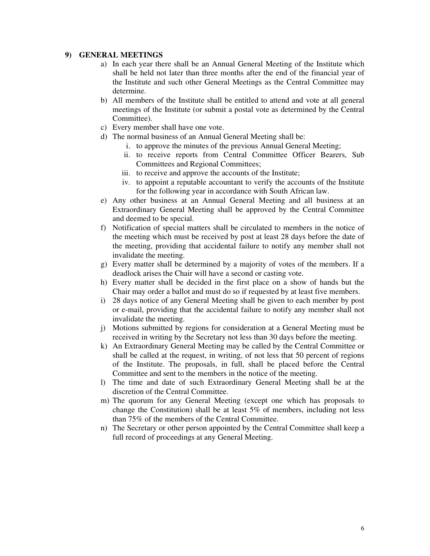#### **9) GENERAL MEETINGS**

- a) In each year there shall be an Annual General Meeting of the Institute which shall be held not later than three months after the end of the financial year of the Institute and such other General Meetings as the Central Committee may determine.
- b) All members of the Institute shall be entitled to attend and vote at all general meetings of the Institute (or submit a postal vote as determined by the Central Committee).
- c) Every member shall have one vote.
- d) The normal business of an Annual General Meeting shall be:
	- i. to approve the minutes of the previous Annual General Meeting;
	- ii. to receive reports from Central Committee Officer Bearers, Sub Committees and Regional Committees;
	- iii. to receive and approve the accounts of the Institute;
	- iv. to appoint a reputable accountant to verify the accounts of the Institute for the following year in accordance with South African law.
- e) Any other business at an Annual General Meeting and all business at an Extraordinary General Meeting shall be approved by the Central Committee and deemed to be special.
- f) Notification of special matters shall be circulated to members in the notice of the meeting which must be received by post at least 28 days before the date of the meeting, providing that accidental failure to notify any member shall not invalidate the meeting.
- g) Every matter shall be determined by a majority of votes of the members. If a deadlock arises the Chair will have a second or casting vote.
- h) Every matter shall be decided in the first place on a show of hands but the Chair may order a ballot and must do so if requested by at least five members.
- i) 28 days notice of any General Meeting shall be given to each member by post or e-mail, providing that the accidental failure to notify any member shall not invalidate the meeting.
- j) Motions submitted by regions for consideration at a General Meeting must be received in writing by the Secretary not less than 30 days before the meeting.
- k) An Extraordinary General Meeting may be called by the Central Committee or shall be called at the request, in writing, of not less that 50 percent of regions of the Institute. The proposals, in full, shall be placed before the Central Committee and sent to the members in the notice of the meeting.
- l) The time and date of such Extraordinary General Meeting shall be at the discretion of the Central Committee.
- m) The quorum for any General Meeting (except one which has proposals to change the Constitution) shall be at least 5% of members, including not less than 75% of the members of the Central Committee.
- n) The Secretary or other person appointed by the Central Committee shall keep a full record of proceedings at any General Meeting.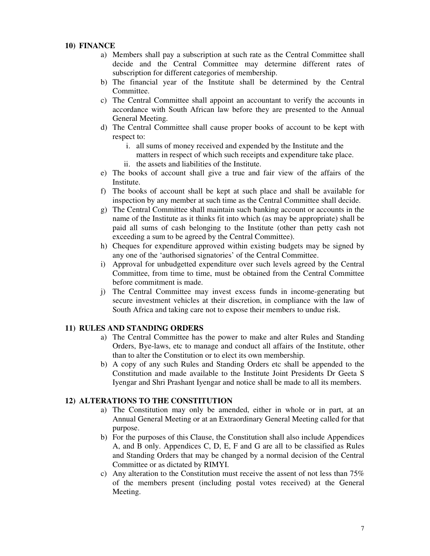## **10) FINANCE**

- a) Members shall pay a subscription at such rate as the Central Committee shall decide and the Central Committee may determine different rates of subscription for different categories of membership.
- b) The financial year of the Institute shall be determined by the Central Committee.
- c) The Central Committee shall appoint an accountant to verify the accounts in accordance with South African law before they are presented to the Annual General Meeting.
- d) The Central Committee shall cause proper books of account to be kept with respect to:
	- i. all sums of money received and expended by the Institute and the matters in respect of which such receipts and expenditure take place.
	- ii. the assets and liabilities of the Institute.
- e) The books of account shall give a true and fair view of the affairs of the Institute.
- f) The books of account shall be kept at such place and shall be available for inspection by any member at such time as the Central Committee shall decide.
- g) The Central Committee shall maintain such banking account or accounts in the name of the Institute as it thinks fit into which (as may be appropriate) shall be paid all sums of cash belonging to the Institute (other than petty cash not exceeding a sum to be agreed by the Central Committee).
- h) Cheques for expenditure approved within existing budgets may be signed by any one of the 'authorised signatories' of the Central Committee.
- i) Approval for unbudgetted expenditure over such levels agreed by the Central Committee, from time to time, must be obtained from the Central Committee before commitment is made.
- j) The Central Committee may invest excess funds in income-generating but secure investment vehicles at their discretion, in compliance with the law of South Africa and taking care not to expose their members to undue risk.

### **11) RULES AND STANDING ORDERS**

- a) The Central Committee has the power to make and alter Rules and Standing Orders, Bye-laws, etc to manage and conduct all affairs of the Institute, other than to alter the Constitution or to elect its own membership.
- b) A copy of any such Rules and Standing Orders etc shall be appended to the Constitution and made available to the Institute Joint Presidents Dr Geeta S Iyengar and Shri Prashant Iyengar and notice shall be made to all its members.

### **12) ALTERATIONS TO THE CONSTITUTION**

- a) The Constitution may only be amended, either in whole or in part, at an Annual General Meeting or at an Extraordinary General Meeting called for that purpose.
- b) For the purposes of this Clause, the Constitution shall also include Appendices A, and B only. Appendices C, D, E, F and G are all to be classified as Rules and Standing Orders that may be changed by a normal decision of the Central Committee or as dictated by RIMYI.
- c) Any alteration to the Constitution must receive the assent of not less than 75% of the members present (including postal votes received) at the General Meeting.